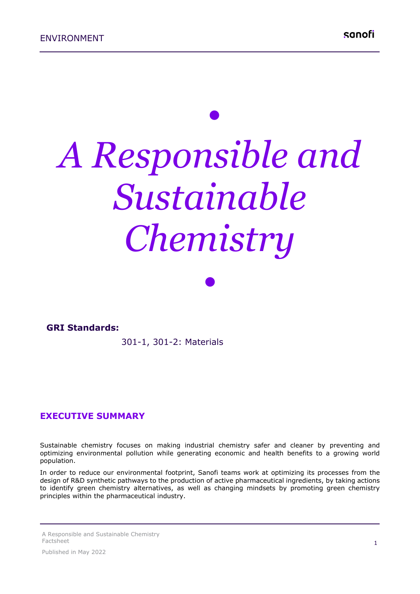# *• A Responsible and Sustainable Chemistry*

*•*

#### **GRI Standards:**

301-1, 301-2: Materials

#### **EXECUTIVE SUMMARY**

Sustainable chemistry focuses on making industrial chemistry safer and cleaner by preventing and optimizing environmental pollution while generating economic and health benefits to a growing world population.

In order to reduce our environmental footprint, Sanofi teams work at optimizing its processes from the design of R&D synthetic pathways to the production of active pharmaceutical ingredients, by taking actions to identify green chemistry alternatives, as well as changing mindsets by promoting green chemistry principles within the pharmaceutical industry.

A Responsible and Sustainable Chemistry Factsheet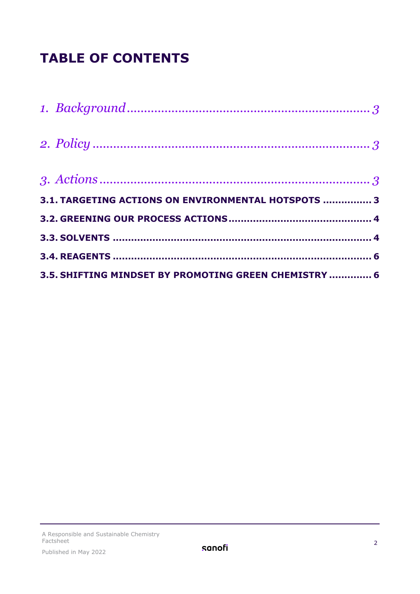## **TABLE OF CONTENTS**

| 3.1. TARGETING ACTIONS ON ENVIRONMENTAL HOTSPOTS  3   |  |
|-------------------------------------------------------|--|
|                                                       |  |
|                                                       |  |
|                                                       |  |
| 3.5. SHIFTING MINDSET BY PROMOTING GREEN CHEMISTRY  6 |  |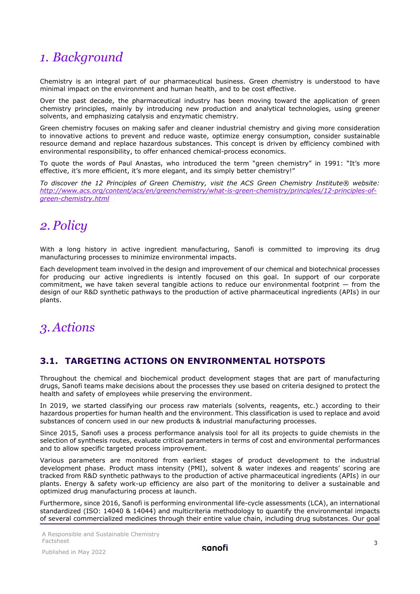## <span id="page-2-0"></span>*1. Background*

Chemistry is an integral part of our pharmaceutical business. Green chemistry is understood to have minimal impact on the environment and human health, and to be cost effective.

Over the past decade, the pharmaceutical industry has been moving toward the application of green chemistry principles, mainly by introducing new production and analytical technologies, using greener solvents, and emphasizing catalysis and enzymatic chemistry.

Green chemistry focuses on making safer and cleaner industrial chemistry and giving more consideration to innovative actions to prevent and reduce waste, optimize energy consumption, consider sustainable resource demand and replace hazardous substances. This concept is driven by efficiency combined with environmental responsibility, to offer enhanced chemical-process economics.

To quote the words of Paul Anastas, who introduced the term "green chemistry" in 1991: "It's more effective, it's more efficient, it's more elegant, and its simply better chemistry!"

*To discover the 12 Principles of Green Chemistry, visit the ACS Green Chemistry Institute® website: [http://www.acs.org/content/acs/en/greenchemistry/what-is-green-chemistry/principles/12-principles-of](http://www.acs.org/content/acs/en/greenchemistry/what-is-green-chemistry/principles/12-principles-of-green-chemistry.html)[green-chemistry.html](http://www.acs.org/content/acs/en/greenchemistry/what-is-green-chemistry/principles/12-principles-of-green-chemistry.html)*

## <span id="page-2-1"></span>*2. Policy*

With a long history in active ingredient manufacturing, Sanofi is committed to improving its drug manufacturing processes to minimize environmental impacts.

Each development team involved in the design and improvement of our chemical and biotechnical processes for producing our active ingredients is intently focused on this goal. In support of our corporate commitment, we have taken several tangible actions to reduce our environmental footprint — from the design of our R&D synthetic pathways to the production of active pharmaceutical ingredients (APIs) in our plants.

## <span id="page-2-2"></span>*3. Actions*

#### <span id="page-2-3"></span>**3.1. TARGETING ACTIONS ON ENVIRONMENTAL HOTSPOTS**

Throughout the chemical and biochemical product development stages that are part of manufacturing drugs, Sanofi teams make decisions about the processes they use based on criteria designed to protect the health and safety of employees while preserving the environment.

In 2019, we started classifying our process raw materials (solvents, reagents, etc.) according to their hazardous properties for human health and the environment. This classification is used to replace and avoid substances of concern used in our new products & industrial manufacturing processes.

Since 2015, Sanofi uses a process performance analysis tool for all its projects to guide chemists in the selection of synthesis routes, evaluate critical parameters in terms of cost and environmental performances and to allow specific targeted process improvement.

Various parameters are monitored from earliest stages of product development to the industrial development phase. Product mass intensity (PMI), solvent & water indexes and reagents' scoring are tracked from R&D synthetic pathways to the production of active pharmaceutical ingredients (APIs) in our plants. Energy & safety work-up efficiency are also part of the monitoring to deliver a sustainable and optimized drug manufacturing process at launch.

Furthermore, since 2016, Sanofi is performing environmental life-cycle assessments (LCA), an international standardized (ISO: 14040 & 14044) and multicriteria methodology to quantify the environmental impacts of several commercialized medicines through their entire value chain, including drug substances. Our goal

A Responsible and Sustainable Chemistry Factsheet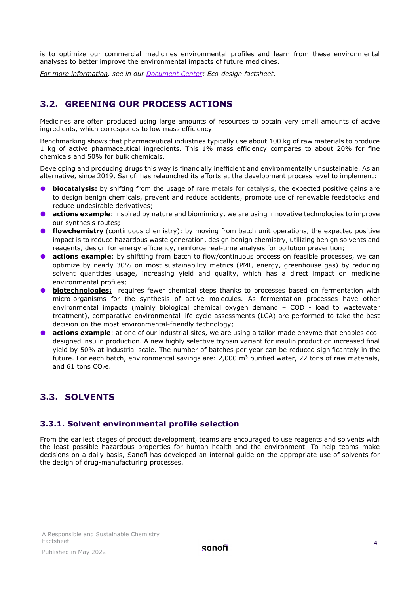is to optimize our commercial medicines environmental profiles and learn from these environmental analyses to better improve the environmental impacts of future medicines.

<span id="page-3-0"></span>*For more information, see in our [Document Center:](https://www.sanofi.com/en/our-responsibility/documents-center) Eco-design factsheet.*

#### **3.2. GREENING OUR PROCESS ACTIONS**

Medicines are often produced using large amounts of resources to obtain very small amounts of active ingredients, which corresponds to low mass efficiency.

Benchmarking shows that pharmaceutical industries typically use about 100 kg of raw materials to produce 1 kg of active pharmaceutical ingredients. This 1% mass efficiency compares to about 20% for fine chemicals and 50% for bulk chemicals.

Developing and producing drugs this way is financially inefficient and environmentally unsustainable. As an alternative, since 2019, Sanofi has relaunched its efforts at the development process level to implement:

- **biocatalysis:** by shifting from the usage of rare metals for catalysis, the expected positive gains are to design benign chemicals, prevent and reduce accidents, promote use of renewable feedstocks and reduce undesirable derivatives;
- **actions example**: inspired by nature and biomimicry, we are using innovative technologies to improve our synthesis routes;
- **flowchemistry** (continuous chemistry): by moving from batch unit operations, the expected positive impact is to reduce hazardous waste generation, design benign chemistry, utilizing benign solvents and reagents, design for energy efficiency, reinforce real-time analysis for pollution prevention;
- **actions example**: by shiftting from batch to flow/continuous process on feasible processes, we can optimize by nearly 30% on most sustainability metrics (PMI, energy, greenhouse gas) by reducing solvent quantities usage, increasing yield and quality, which has a direct impact on medicine environmental profiles;
- **biotechnologies:** requires fewer chemical steps thanks to processes based on fermentation with micro-organisms for the synthesis of active molecules. As fermentation processes have other environmental impacts (mainly biological chemical oxygen demand – COD - load to wastewater treatment), comparative environmental life-cycle assessments (LCA) are performed to take the best decision on the most environmental-friendly technology;
- **actions example**: at one of our industrial sites, we are using a tailor-made enzyme that enables ecodesigned insulin production. A new highly selective trypsin variant for insulin production increased final yield by 50% at industrial scale. The number of batches per year can be reduced significantely in the future. For each batch, environmental savings are:  $2,000$  m<sup>3</sup> purified water, 22 tons of raw materials, and  $61$  tons  $CO<sub>2</sub>e$ .

#### <span id="page-3-1"></span>**3.3. SOLVENTS**

#### **3.3.1. Solvent environmental profile selection**

From the earliest stages of product development, teams are encouraged to use reagents and solvents with the least possible hazardous properties for human health and the environment. To help teams make decisions on a daily basis, Sanofi has developed an internal guide on the appropriate use of solvents for the design of drug-manufacturing processes.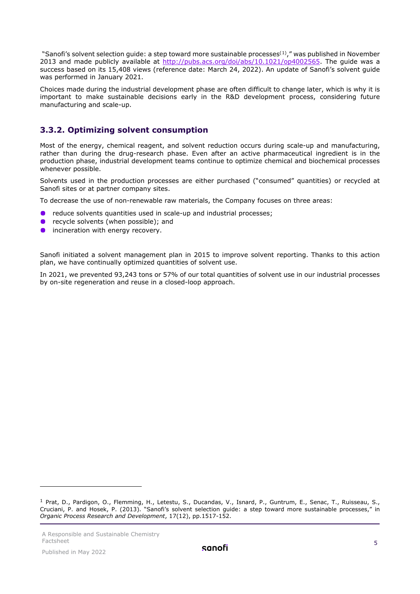"Sanofi's solvent selection guide: a step toward more sustainable processes<sup>([1\)](#page-4-0)</sup>," was published in November 2013 and made publicly available at [http://pubs.acs.org/doi/abs/10.1021/op4002565.](http://pubs.acs.org/doi/abs/10.1021/op4002565) The guide was a success based on its 15,408 views (reference date: March 24, 2022). An update of Sanofi's solvent guide was performed in January 2021.

Choices made during the industrial development phase are often difficult to change later, which is why it is important to make sustainable decisions early in the R&D development process, considering future manufacturing and scale-up.

#### **3.3.2. Optimizing solvent consumption**

Most of the energy, chemical reagent, and solvent reduction occurs during scale-up and manufacturing, rather than during the drug-research phase. Even after an active pharmaceutical ingredient is in the production phase, industrial development teams continue to optimize chemical and biochemical processes whenever possible.

Solvents used in the production processes are either purchased ("consumed" quantities) or recycled at Sanofi sites or at partner company sites.

To decrease the use of non-renewable raw materials, the Company focuses on three areas:

- **•** reduce solvents quantities used in scale-up and industrial processes;
- recycle solvents (when possible); and
- $\bullet$ incineration with energy recovery.

Sanofi initiated a solvent management plan in 2015 to improve solvent reporting. Thanks to this action plan, we have continually optimized quantities of solvent use.

In 2021, we prevented 93,243 tons or 57% of our total quantities of solvent use in our industrial processes by on-site regeneration and reuse in a closed-loop approach.

<span id="page-4-0"></span><sup>1</sup> Prat, D., Pardigon, O., Flemming, H., Letestu, S., Ducandas, V., Isnard, P., Guntrum, E., Senac, T., Ruisseau, S., Cruciani, P. and Hosek, P. (2013). "Sanofi's solvent selection guide: a step toward more sustainable processes," in *Organic Process Research and Development*, 17(12), pp.1517-152.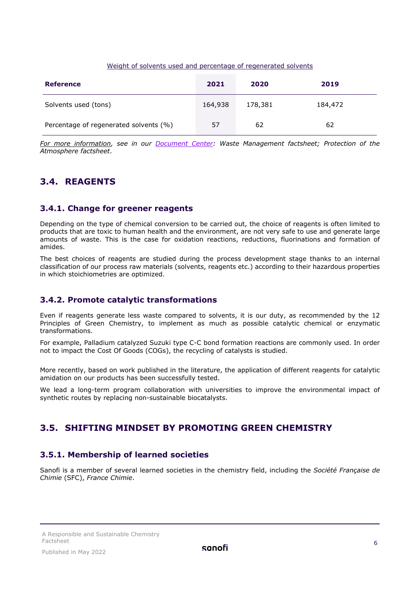#### Weight of solvents used and percentage of regenerated solvents

| <b>Reference</b>                       | 2021    | 2020    | 2019    |
|----------------------------------------|---------|---------|---------|
| Solvents used (tons)                   | 164,938 | 178,381 | 184,472 |
| Percentage of regenerated solvents (%) | 57      | 62      | 62      |

*For more information, see in our [Document Center:](https://www.sanofi.com/en/our-responsibility/documents-center) Waste Management factsheet; Protection of the Atmosphere factsheet*.

#### <span id="page-5-0"></span>**3.4. REAGENTS**

#### **3.4.1. Change for greener reagents**

Depending on the type of chemical conversion to be carried out, the choice of reagents is often limited to products that are toxic to human health and the environment, are not very safe to use and generate large amounts of waste. This is the case for oxidation reactions, reductions, fluorinations and formation of amides.

The best choices of reagents are studied during the process development stage thanks to an internal classification of our process raw materials (solvents, reagents etc.) according to their hazardous properties in which stoichiometries are optimized.

#### **3.4.2. Promote catalytic transformations**

Even if reagents generate less waste compared to solvents, it is our duty, as recommended by the 12 Principles of Green Chemistry, to implement as much as possible catalytic chemical or enzymatic transformations.

For example, Palladium catalyzed Suzuki type C-C bond formation reactions are commonly used. In order not to impact the Cost Of Goods (COGs), the recycling of catalysts is studied.

More recently, based on work published in the literature, the application of different reagents for catalytic amidation on our products has been successfully tested.

We lead a long-term program collaboration with universities to improve the environmental impact of synthetic routes by replacing non-sustainable biocatalysts.

#### <span id="page-5-1"></span>**3.5. SHIFTING MINDSET BY PROMOTING GREEN CHEMISTRY**

#### **3.5.1. Membership of learned societies**

Sanofi is a member of several learned societies in the chemistry field, including the *Société Française de Chimie* (SFC), *France Chimie*.